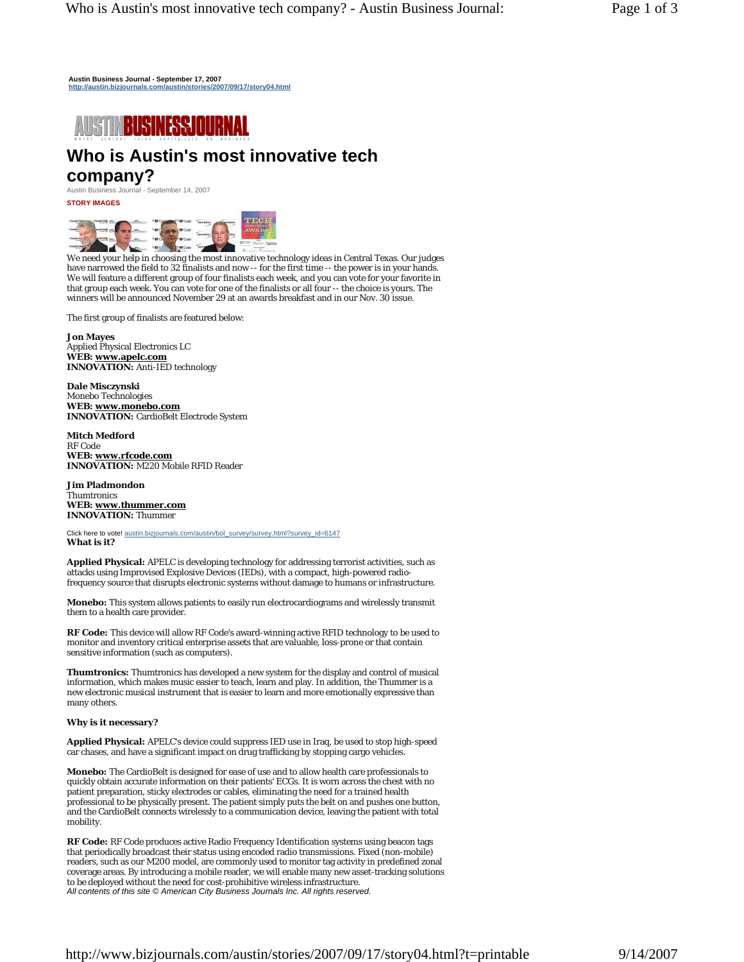**Austin Business Journal - September 17, 2007 http://austin.bizjournals.com/austin/stories/2007/09/17/story04.html**



# **Who is Austin's most innovative tech**

# **company?**

Austin Business Journal - September 14, 2007

**STORY IMAGES** 



We need your help in choosing the most innovative technology ideas in Central Texas. Our judges have narrowed the field to 32 finalists and now -- for the first time -- the power is in your hands. We will feature a different group of four finalists each week, and you can vote for your favorite in that group each week. You can vote for one of the finalists or all four -- the choice is yours. The winners will be announced November 29 at an awards breakfast and in our Nov. 30 issue.

The first group of finalists are featured below:

**Jon Mayes**  Applied Physical Electronics LC **WEB: www.apelc.com INNOVATION:** Anti-IED technology

**Dale Misczynski** Monebo Technologies **WEB: www.monebo.com INNOVATION:** CardioBelt Electrode System

**Mitch Medford** RF Code **WEB: www.rfcode.com INNOVATION:** M220 Mobile RFID Reader

**Jim Pladmondon Thumtronics WEB: www.thummer.com INNOVATION:** Thummer

Click here to vote! austin.bizjournals.com/austin/bol\_survey/survey.html?survey\_id=6147 **What is it?**

**Applied Physical:** APELC is developing technology for addressing terrorist activities, such as attacks using Improvised Explosive Devices (IEDs), with a compact, high-powered radiofrequency source that disrupts electronic systems without damage to humans or infrastructure.

**Monebo:** This system allows patients to easily run electrocardiograms and wirelessly transmit them to a health care provider.

**RF Code:** This device will allow RF Code's award-winning active RFID technology to be used to monitor and inventory critical enterprise assets that are valuable, loss-prone or that contain sensitive information (such as computers).

**Thumtronics:** Thumtronics has developed a new system for the display and control of musical information, which makes music easier to teach, learn and play. In addition, the Thummer is a new electronic musical instrument that is easier to learn and more emotionally expressive than many others.

# **Why is it necessary?**

**Applied Physical:** APELC's device could suppress IED use in Iraq, be used to stop high-speed car chases, and have a significant impact on drug trafficking by stopping cargo vehicles.

**Monebo:** The CardioBelt is designed for ease of use and to allow health care professionals to quickly obtain accurate information on their patients' ECGs. It is worn across the chest with no patient preparation, sticky electrodes or cables, eliminating the need for a trained health professional to be physically present. The patient simply puts the belt on and pushes one button, and the CardioBelt connects wirelessly to a communication device, leaving the patient with total mobility.

**RF Code:** RF Code produces active Radio Frequency Identification systems using beacon tags that periodically broadcast their status using encoded radio transmissions. Fixed (non-mobile) readers, such as our M200 model, are commonly used to monitor tag activity in predefined zonal coverage areas. By introducing a mobile reader, we will enable many new asset-tracking solutions to be deployed without the need for cost-prohibitive wireless infrastructure. *All contents of this site © American City Business Journals Inc. All rights reserved.*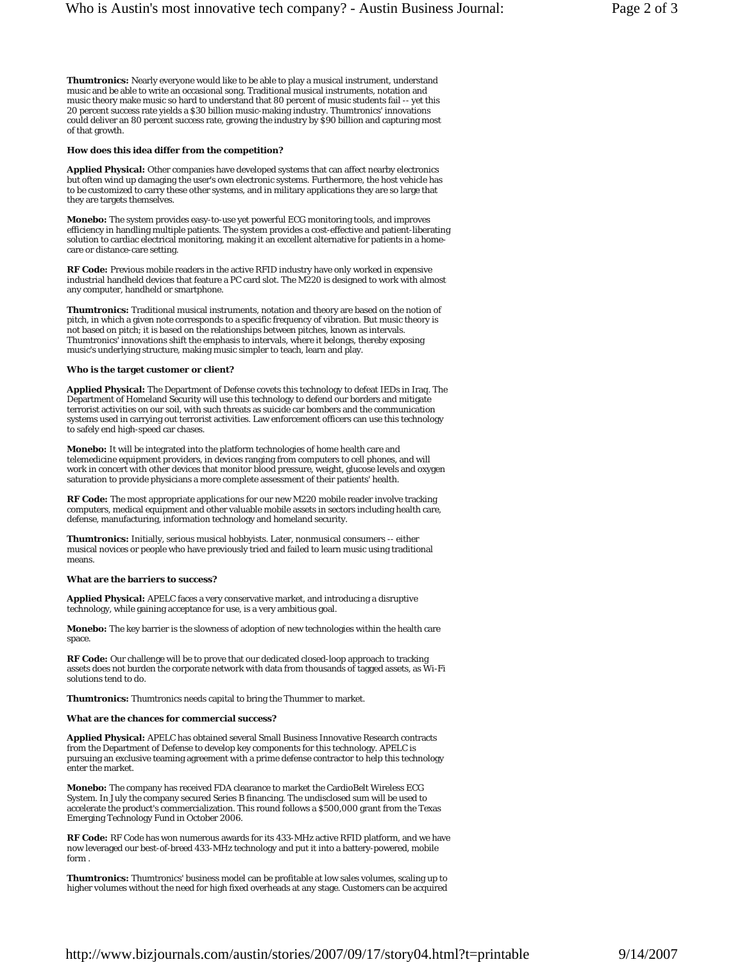**Thumtronics:** Nearly everyone would like to be able to play a musical instrument, understand music and be able to write an occasional song. Traditional musical instruments, notation and music theory make music so hard to understand that 80 percent of music students fail -- yet this 20 percent success rate yields a \$30 billion music-making industry. Thumtronics' innovations could deliver an 80 percent success rate, growing the industry by \$90 billion and capturing most of that growth.

#### **How does this idea differ from the competition?**

**Applied Physical:** Other companies have developed systems that can affect nearby electronics but often wind up damaging the user's own electronic systems. Furthermore, the host vehicle has to be customized to carry these other systems, and in military applications they are so large that they are targets themselves.

**Monebo:** The system provides easy-to-use yet powerful ECG monitoring tools, and improves efficiency in handling multiple patients. The system provides a cost-effective and patient-liberating solution to cardiac electrical monitoring, making it an excellent alternative for patients in a homecare or distance-care setting.

**RF Code:** Previous mobile readers in the active RFID industry have only worked in expensive industrial handheld devices that feature a PC card slot. The M220 is designed to work with almost any computer, handheld or smartphone.

**Thumtronics:** Traditional musical instruments, notation and theory are based on the notion of pitch, in which a given note corresponds to a specific frequency of vibration. But music theory is not based on pitch; it is based on the relationships between pitches, known as intervals. Thumtronics' innovations shift the emphasis to intervals, where it belongs, thereby exposing music's underlying structure, making music simpler to teach, learn and play.

#### **Who is the target customer or client?**

**Applied Physical:** The Department of Defense covets this technology to defeat IEDs in Iraq. The Department of Homeland Security will use this technology to defend our borders and mitigate terrorist activities on our soil, with such threats as suicide car bombers and the communication systems used in carrying out terrorist activities. Law enforcement officers can use this technology to safely end high-speed car chases.

**Monebo:** It will be integrated into the platform technologies of home health care and telemedicine equipment providers, in devices ranging from computers to cell phones, and will work in concert with other devices that monitor blood pressure, weight, glucose levels and oxygen saturation to provide physicians a more complete assessment of their patients' health.

**RF Code:** The most appropriate applications for our new M220 mobile reader involve tracking computers, medical equipment and other valuable mobile assets in sectors including health care, defense, manufacturing, information technology and homeland security.

**Thumtronics:** Initially, serious musical hobbyists. Later, nonmusical consumers -- either musical novices or people who have previously tried and failed to learn music using traditional means.

### **What are the barriers to success?**

**Applied Physical:** APELC faces a very conservative market, and introducing a disruptive technology, while gaining acceptance for use, is a very ambitious goal.

**Monebo:** The key barrier is the slowness of adoption of new technologies within the health care space.

**RF Code:** Our challenge will be to prove that our dedicated closed-loop approach to tracking assets does not burden the corporate network with data from thousands of tagged assets, as Wi-Fi solutions tend to do.

**Thumtronics:** Thumtronics needs capital to bring the Thummer to market.

## **What are the chances for commercial success?**

**Applied Physical:** APELC has obtained several Small Business Innovative Research contracts from the Department of Defense to develop key components for this technology. APELC is pursuing an exclusive teaming agreement with a prime defense contractor to help this technology enter the market.

**Monebo:** The company has received FDA clearance to market the CardioBelt Wireless ECG System. In July the company secured Series B financing. The undisclosed sum will be used to accelerate the product's commercialization. This round follows a \$500,000 grant from the Texas Emerging Technology Fund in October 2006.

**RF Code:** RF Code has won numerous awards for its 433-MHz active RFID platform, and we have now leveraged our best-of-breed 433-MHz technology and put it into a battery-powered, mobile form .

**Thumtronics:** Thumtronics' business model can be profitable at low sales volumes, scaling up to higher volumes without the need for high fixed overheads at any stage. Customers can be acquired